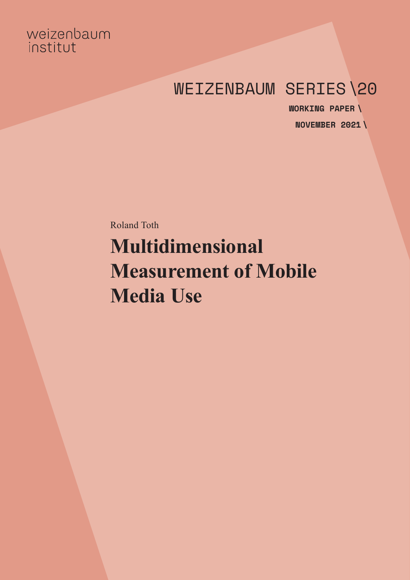## weizenbaum institut

# WEIZENBAUM SERIES\20

**NOVEMBER 2021 \WORKING PAPER \**

Roland Toth **Multidimensional Measurement of Mobile Media Use**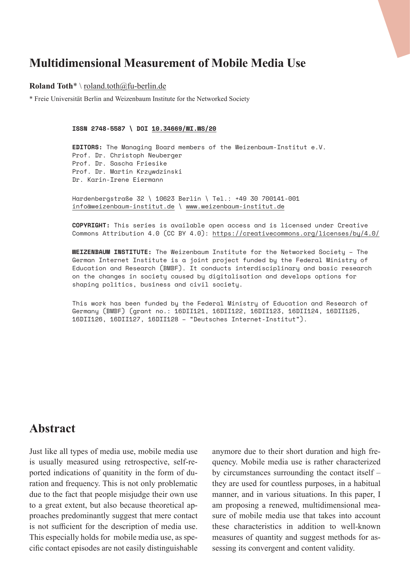### **Multidimensional Measurement of Mobile Media Use**

#### **Roland Toth**\* \ [roland.toth@fu-berlin.de](mailto:roland.toth%40fu-berlin.de?subject=)

\* Freie Universität Berlin and Weizenbaum Institute for the Networked Society

**ISSN 2748-5587 \ DOI [10.34669/WI.WS/20](https://doi.org/10.34669/wi.ws/20)**

**EDITORS:** The Managing Board members of the Weizenbaum-Institut e.V. Prof. Dr. Christoph Neuberger Prof. Dr. Sascha Friesike Prof. Dr. Martin Krzywdzinski Dr. Karin-Irene Eiermann

Hardenbergstraße 32 \ 10623 Berlin \ Tel.: +49 30 700141-001 [info@weizenbaum-institut.de](mailto:info%40weizenbaum-institut.de?subject=) \ [www.weizenbaum-institut.de](http://www.weizenbaum-institut.de)

**COPYRIGHT:** This series is available open access and is licensed under Creative Commons Attribution 4.0 (CC BY 4.0): <https://creativecommons.org/licenses/by/4.0/>

**WEIZENBAUM INSTITUTE:** The Weizenbaum Institute for the Networked Society – The German Internet Institute is a joint project funded by the Federal Ministry of Education and Research (BMBF). It conducts interdisciplinary and basic research on the changes in society caused by digitalisation and develops options for shaping politics, business and civil society.

This work has been funded by the Federal Ministry of Education and Research of Germany (BMBF) (grant no.: 16DII121, 16DII122, 16DII123, 16DII124, 16DII125, 16DII126, 16DII127, 16DII128 – "Deutsches Internet-Institut").

### **Abstract**

Just like all types of media use, mobile media use is usually measured using retrospective, self-reported indications of quanitity in the form of duration and frequency. This is not only problematic due to the fact that people misjudge their own use to a great extent, but also because theoretical approaches predominantly suggest that mere contact is not sufficient for the description of media use. This especially holds for mobile media use, as specific contact episodes are not easily distinguishable anymore due to their short duration and high frequency. Mobile media use is rather characterized by circumstances surrounding the contact itself – they are used for countless purposes, in a habitual manner, and in various situations. In this paper, I am proposing a renewed, multidimensional measure of mobile media use that takes into account these characteristics in addition to well-known measures of quantity and suggest methods for assessing its convergent and content validity.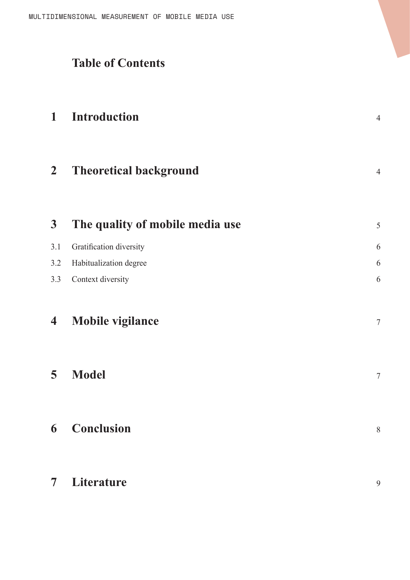# **Table of Contents**

| 1                       | <b>Introduction</b>             | $\overline{4}$ |
|-------------------------|---------------------------------|----------------|
| $\overline{2}$          | <b>Theoretical background</b>   | $\overline{4}$ |
| $\mathbf{3}$            | The quality of mobile media use | 5              |
| 3.1                     | Gratification diversity         | 6              |
| 3.2                     | Habitualization degree          | 6              |
| 3.3                     | Context diversity               | 6              |
| $\overline{\mathbf{4}}$ | <b>Mobile vigilance</b>         | $\tau$         |
| 5                       | <b>Model</b>                    | $\tau$         |
|                         | <b>6</b> Conclusion             | $\,$ $\,$      |
| 7 <sup>7</sup>          | Literature                      | 9              |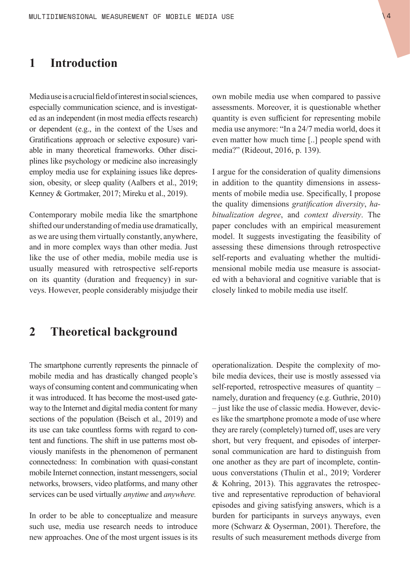### <span id="page-3-0"></span>**1 Introduction**

Media use is a crucial field of interest in social sciences, especially communication science, and is investigated as an independent (in most media effects research) or dependent (e.g., in the context of the Uses and Gratifications approach or selective exposure) variable in many theoretical frameworks. Other disciplines like psychology or medicine also increasingly employ media use for explaining issues like depression, obesity, or sleep quality (Aalbers et al., 2019; Kenney & Gortmaker, 2017; Mireku et al., 2019).

Contemporary mobile media like the smartphone shifted our understanding of media use dramatically, as we are using them virtually constantly, anywhere, and in more complex ways than other media. Just like the use of other media, mobile media use is usually measured with retrospective self-reports on its quantity (duration and frequency) in surveys. However, people considerably misjudge their

### **2 Theoretical background**

The smartphone currently represents the pinnacle of mobile media and has drastically changed people's ways of consuming content and communicating when it was introduced. It has become the most-used gateway to the Internet and digital media content for many sections of the population (Beisch et al., 2019) and its use can take countless forms with regard to content and functions. The shift in use patterns most obviously manifests in the phenomenon of permanent connectedness: In combination with quasi-constant mobile Internet connection, instant messengers, social networks, browsers, video platforms, and many other services can be used virtually *anytime* and *anywhere.*

In order to be able to conceptualize and measure such use, media use research needs to introduce new approaches. One of the most urgent issues is its own mobile media use when compared to passive assessments. Moreover, it is questionable whether quantity is even sufficient for representing mobile media use anymore: "In a 24/7 media world, does it even matter how much time [..] people spend with media?" (Rideout, 2016, p. 139).

I argue for the consideration of quality dimensions in addition to the quantity dimensions in assessments of mobile media use. Specifically, I propose the quality dimensions *gratification diversity*, *habitualization degree*, and *context diversity*. The paper concludes with an empirical measurement model. It suggests investigating the feasibility of assessing these dimensions through retrospective self-reports and evaluating whether the multidimensional mobile media use measure is associated with a behavioral and cognitive variable that is closely linked to mobile media use itself.

operationalization. Despite the complexity of mobile media devices, their use is mostly assessed via self-reported, retrospective measures of quantity – namely, duration and frequency (e.g. Guthrie, 2010) – just like the use of classic media. However, devices like the smartphone promote a mode of use where they are rarely (completely) turned off, uses are very short, but very frequent, and episodes of interpersonal communication are hard to distinguish from one another as they are part of incomplete, continuous converstations (Thulin et al., 2019; Vorderer & Kohring, 2013). This aggravates the retrospective and representative reproduction of behavioral episodes and giving satisfying answers, which is a burden for participants in surveys anyways, even more (Schwarz & Oyserman, 2001). Therefore, the results of such measurement methods diverge from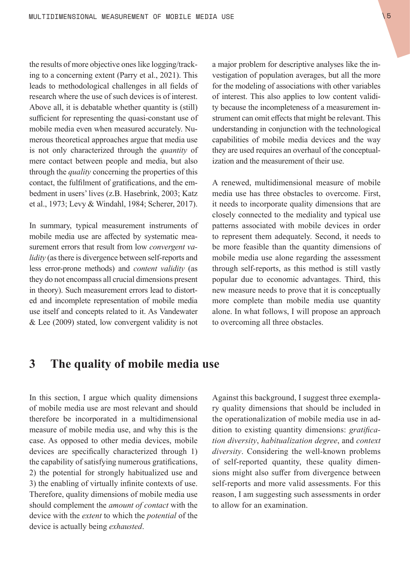<span id="page-4-0"></span>the results of more objective ones like logging/tracking to a concerning extent (Parry et al., 2021). This leads to methodological challenges in all fields of research where the use of such devices is of interest. Above all, it is debatable whether quantity is (still) sufficient for representing the quasi-constant use of mobile media even when measured accurately. Numerous theoretical approaches argue that media use is not only characterized through the *quantity* of mere contact between people and media, but also through the *quality* concerning the properties of this contact, the fulfilment of gratifications, and the embedment in users' lives (z.B. Hasebrink, 2003; Katz et al., 1973; Levy & Windahl, 1984; Scherer, 2017).

In summary, typical measurement instruments of mobile media use are affected by systematic measurement errors that result from low *convergent validity* (as there is divergence between self-reports and less error-prone methods) and *content validity* (as they do not encompass all crucial dimensions present in theory). Such measurement errors lead to distorted and incomplete representation of mobile media use itself and concepts related to it. As Vandewater & Lee (2009) stated, low convergent validity is not a major problem for descriptive analyses like the investigation of population averages, but all the more for the modeling of associations with other variables of interest. This also applies to low content validity because the incompleteness of a measurement instrument can omit effects that might be relevant. This understanding in conjunction with the technological capabilities of mobile media devices and the way they are used requires an overhaul of the conceptualization and the measurement of their use.

A renewed, multidimensional measure of mobile media use has three obstacles to overcome. First, it needs to incorporate quality dimensions that are closely connected to the mediality and typical use patterns associated with mobile devices in order to represent them adequately. Second, it needs to be more feasible than the quantity dimensions of mobile media use alone regarding the assessment through self-reports, as this method is still vastly popular due to economic advantages. Third, this new measure needs to prove that it is conceptually more complete than mobile media use quantity alone. In what follows, I will propose an approach to overcoming all three obstacles.

### **3 The quality of mobile media use**

In this section, I argue which quality dimensions of mobile media use are most relevant and should therefore be incorporated in a multidimensional measure of mobile media use, and why this is the case. As opposed to other media devices, mobile devices are specifically characterized through 1) the capability of satisfying numerous gratifications, 2) the potential for strongly habitualized use and 3) the enabling of virtually infinite contexts of use. Therefore, quality dimensions of mobile media use should complement the *amount of contact* with the device with the *extent* to which the *potential* of the device is actually being *exhausted*.

Against this background, I suggest three exemplary quality dimensions that should be included in the operationalization of mobile media use in addition to existing quantity dimensions: *gratification diversity*, *habitualization degree*, and *context diversity*. Considering the well-known problems of self-reported quantity, these quality dimensions might also suffer from divergence between self-reports and more valid assessments. For this reason, I am suggesting such assessments in order to allow for an examination.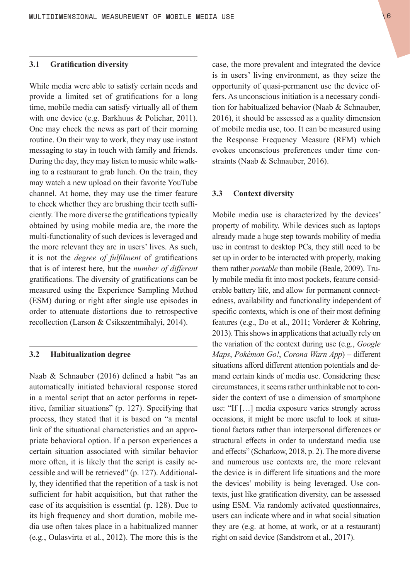#### <span id="page-5-0"></span>**3.1 Gratification diversity**

While media were able to satisfy certain needs and provide a limited set of gratifications for a long time, mobile media can satisfy virtually all of them with one device (e.g. Barkhuus & Polichar, 2011). One may check the news as part of their morning routine. On their way to work, they may use instant messaging to stay in touch with family and friends. During the day, they may listen to music while walking to a restaurant to grab lunch. On the train, they may watch a new upload on their favorite YouTube channel. At home, they may use the timer feature to check whether they are brushing their teeth sufficiently. The more diverse the gratifications typically obtained by using mobile media are, the more the multi-functionality of such devices is leveraged and the more relevant they are in users' lives. As such, it is not the *degree of fulfilment* of gratifications that is of interest here, but the *number of different* gratifications. The diversity of gratifications can be measured using the Experience Sampling Method (ESM) during or right after single use episodes in order to attenuate distortions due to retrospective recollection (Larson & Csikszentmihalyi, 2014).

#### **3.2 Habitualization degree**

Naab & Schnauber (2016) defined a habit "as an automatically initiated behavioral response stored in a mental script that an actor performs in repetitive, familiar situations" (p. 127). Specifying that process, they stated that it is based on "a mental link of the situational characteristics and an appropriate behavioral option. If a person experiences a certain situation associated with similar behavior more often, it is likely that the script is easily accessible and will be retrieved" (p. 127). Additionally, they identified that the repetition of a task is not sufficient for habit acquisition, but that rather the ease of its acquisition is essential (p. 128). Due to its high frequency and short duration, mobile media use often takes place in a habitualized manner (e.g., Oulasvirta et al., 2012). The more this is the case, the more prevalent and integrated the device is in users' living environment, as they seize the opportunity of quasi-permanent use the device offers. As unconscious initiation is a necessary condition for habitualized behavior (Naab & Schnauber, 2016), it should be assessed as a quality dimension of mobile media use, too. It can be measured using the Response Frequency Measure (RFM) which evokes unconscious preferences under time constraints (Naab & Schnauber, 2016).

#### **3.3 Context diversity**

Mobile media use is characterized by the devices' property of mobility. While devices such as laptops already made a huge step towards mobility of media use in contrast to desktop PCs, they still need to be set up in order to be interacted with properly, making them rather *portable* than mobile (Beale, 2009). Truly mobile media fit into most pockets, feature considerable battery life, and allow for permanent connectedness, availability and functionality independent of specific contexts, which is one of their most defining features (e.g., Do et al., 2011; Vorderer & Kohring, 2013). This shows in applications that actually rely on the variation of the context during use (e.g., *Google Maps*, *Pokémon Go!*, *Corona Warn App*) – different situations afford different attention potentials and demand certain kinds of media use. Considering these circumstances, it seems rather unthinkable not to consider the context of use a dimension of smartphone use: "If […] media exposure varies strongly across occasions, it might be more useful to look at situational factors rather than interpersonal differences or structural effects in order to understand media use and effects" (Scharkow, 2018, p. 2). The more diverse and numerous use contexts are, the more relevant the device is in different life situations and the more the devices' mobility is being leveraged. Use contexts, just like gratification diversity, can be assessed using ESM. Via randomly activated questionnaires, users can indicate where and in what social situation they are (e.g. at home, at work, or at a restaurant) right on said device (Sandstrom et al., 2017).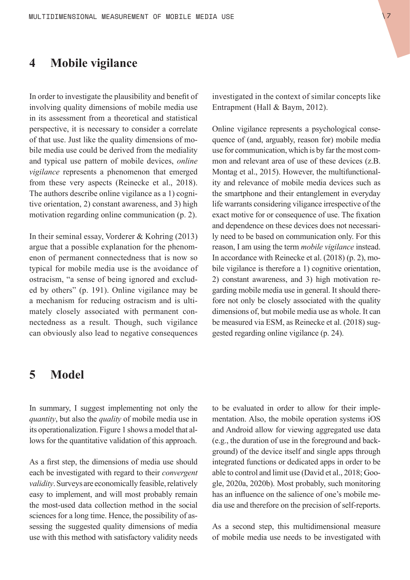### <span id="page-6-0"></span>**4 Mobile vigilance**

In order to investigate the plausibility and benefit of involving quality dimensions of mobile media use in its assessment from a theoretical and statistical perspective, it is necessary to consider a correlate of that use. Just like the quality dimensions of mobile media use could be derived from the mediality and typical use pattern of mobile devices, *online vigilance* represents a phenomenon that emerged from these very aspects (Reinecke et al., 2018). The authors describe online vigilance as a 1) cognitive orientation, 2) constant awareness, and 3) high motivation regarding online communication (p. 2).

In their seminal essay, Vorderer & Kohring (2013) argue that a possible explanation for the phenomenon of permanent connectedness that is now so typical for mobile media use is the avoidance of ostracism, "a sense of being ignored and excluded by others" (p. 191). Online vigilance may be a mechanism for reducing ostracism and is ultimately closely associated with permanent connectedness as a result. Though, such vigilance can obviously also lead to negative consequences

investigated in the context of similar concepts like Entrapment (Hall & Baym, 2012).

Online vigilance represents a psychological consequence of (and, arguably, reason for) mobile media use for communication, which is by far the most common and relevant area of use of these devices (z.B. Montag et al., 2015). However, the multifunctionality and relevance of mobile media devices such as the smartphone and their entanglement in everyday life warrants considering viligance irrespective of the exact motive for or consequence of use. The fixation and dependence on these devices does not necessarily need to be based on communication only. For this reason, I am using the term *mobile vigilance* instead. In accordance with Reinecke et al. (2018) (p. 2), mobile vigilance is therefore a 1) cognitive orientation, 2) constant awareness, and 3) high motivation regarding mobile media use in general. It should therefore not only be closely associated with the quality dimensions of, but mobile media use as whole. It can be measured via ESM, as Reinecke et al. (2018) suggested regarding online vigilance (p. 24).

### **5 Model**

In summary, I suggest implementing not only the *quantity*, but also the *quality* of mobile media use in its operationalization. Figure 1 shows a model that allows for the quantitative validation of this approach.

As a first step, the dimensions of media use should each be investigated with regard to their *convergent validity*. Surveys are economically feasible, relatively easy to implement, and will most probably remain the most-used data collection method in the social sciences for a long time. Hence, the possibility of assessing the suggested quality dimensions of media use with this method with satisfactory validity needs to be evaluated in order to allow for their implementation. Also, the mobile operation systems iOS and Android allow for viewing aggregated use data (e.g., the duration of use in the foreground and background) of the device itself and single apps through integrated functions or dedicated apps in order to be able to control and limit use (David et al., 2018; Google, 2020a, 2020b). Most probably, such monitoring has an influence on the salience of one's mobile media use and therefore on the precision of self-reports.

As a second step, this multidimensional measure of mobile media use needs to be investigated with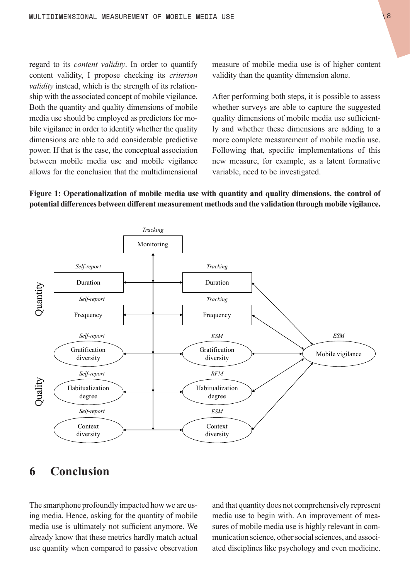<span id="page-7-0"></span>regard to its *content validity*. In order to quantify content validity, I propose checking its *criterion validity* instead, which is the strength of its relationship with the associated concept of mobile vigilance. Both the quantity and quality dimensions of mobile media use should be employed as predictors for mobile vigilance in order to identify whether the quality dimensions are able to add considerable predictive power. If that is the case, the conceptual association between mobile media use and mobile vigilance allows for the conclusion that the multidimensional measure of mobile media use is of higher content validity than the quantity dimension alone.

After performing both steps, it is possible to assess whether surveys are able to capture the suggested quality dimensions of mobile media use sufficiently and whether these dimensions are adding to a more complete measurement of mobile media use. Following that, specific implementations of this new measure, for example, as a latent formative variable, need to be investigated.

#### **Figure 1: Operationalization of mobile media use with quantity and quality dimensions, the control of potential differences between different measurement methods and the validation through mobile vigilance.**



### **6 Conclusion**

The smartphone profoundly impacted how we are using media. Hence, asking for the quantity of mobile media use is ultimately not sufficient anymore. We already know that these metrics hardly match actual use quantity when compared to passive observation and that quantity does not comprehensively represent media use to begin with. An improvement of measures of mobile media use is highly relevant in communication science, other social sciences, and associated disciplines like psychology and even medicine.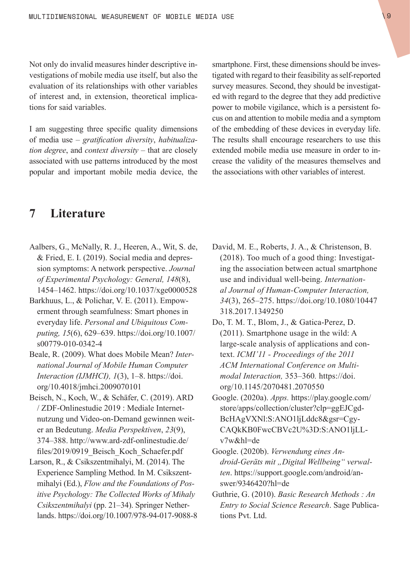<span id="page-8-0"></span>Not only do invalid measures hinder descriptive investigations of mobile media use itself, but also the evaluation of its relationships with other variables of interest and, in extension, theoretical implications for said variables.

I am suggesting three specific quality dimensions of media use – *gratification diversity*, *habitualization degree*, and *context diversity* – that are closely associated with use patterns introduced by the most popular and important mobile media device, the smartphone. First, these dimensions should be investigated with regard to their feasibility as self-reported survey measures. Second, they should be investigated with regard to the degree that they add predictive power to mobile vigilance, which is a persistent focus on and attention to mobile media and a symptom of the embedding of these devices in everyday life. The results shall encourage researchers to use this extended mobile media use measure in order to increase the validity of the measures themselves and the associations with other variables of interest.

### **7 Literature**

- Aalbers, G., McNally, R. J., Heeren, A., Wit, S. de, & Fried, E. I. (2019). Social media and depression symptoms: A network perspective. *Journal of Experimental Psychology: General, 148*(8), 1454–1462. <https://doi.org/10.1037/xge0000528>
- Barkhuus, L., & Polichar, V. E. (2011). Empowerment through seamfulness: Smart phones in everyday life. *Personal and Ubiquitous Computing, 15*(6), 629–639. [https://doi.org/10.1007/](https://doi.org/10.1007/s00779-010-0342-4) [s00779-010-0342-4](https://doi.org/10.1007/s00779-010-0342-4)
- Beale, R. (2009). What does Mobile Mean? *International Journal of Mobile Human Computer Interaction (IJMHCI), 1*(3), 1–8. [https://doi.](https://doi.org/10.4018/jmhci.2009070101) [org/10.4018/jmhci.2009070101](https://doi.org/10.4018/jmhci.2009070101)
- Beisch, N., Koch, W., & Schäfer, C. (2019). ARD / ZDF-Onlinestudie 2019 : Mediale Internetnutzung und Video-on-Demand gewinnen weiter an Bedeutung. *Media Perspektiven*, *23*(9), 374–388. [http://www.ard-zdf-onlinestudie.de/](http://www.ard-zdf-onlinestudie.de/files/2019/0919_Beisch_Koch_Schaefer.pdf) files/2019/0919 Beisch Koch Schaefer.pdf
- Larson, R., & Csikszentmihalyi, M. (2014). The Experience Sampling Method. In M. Csikszentmihalyi (Ed.), *Flow and the Foundations of Positive Psychology: The Collected Works of Mihaly Csikszentmihalyi* (pp. 21–34). Springer Netherlands.<https://doi.org/10.1007/978-94-017-9088-8>
- David, M. E., Roberts, J. A., & Christenson, B. (2018). Too much of a good thing: Investigating the association between actual smartphone use and individual well-being. *International Journal of Human-Computer Interaction, 34*(3), 265–275. [https://doi.org/10.1080/10447](https://doi.org/10.1080/10447318.2017.1349250) [318.2017.1349250](https://doi.org/10.1080/10447318.2017.1349250)
- Do, T. M. T., Blom, J., & Gatica-Perez, D. (2011). Smartphone usage in the wild: A large-scale analysis of applications and context. *ICMI'11 - Proceedings of the 2011 ACM International Conference on Multimodal Interaction,* 353–360*.* [https://doi.](https://doi.org/10.1145/2070481.2070550) [org/10.1145/2070481.2070550](https://doi.org/10.1145/2070481.2070550)
- Google. (2020a). *Apps.* [https://play.google.com/](https://play.google.com/store/apps/collection/cluster?clp=ggEJCgdBcHAgVXNl:S:ANO1ljLddc8&gsr=CgyCAQkKB0FwcCBVc2U%3D:S:ANO1ljLLv7w&hl=de) [store/apps/collection/cluster?clp=ggEJCgd-](https://play.google.com/store/apps/collection/cluster?clp=ggEJCgdBcHAgVXNl:S:ANO1ljLddc8&gsr=CgyCAQkKB0FwcCBVc2U%3D:S:ANO1ljLLv7w&hl=de)[BcHAgVXNl:S:ANO1ljLddc8&gsr=Cgy-](https://play.google.com/store/apps/collection/cluster?clp=ggEJCgdBcHAgVXNl:S:ANO1ljLddc8&gsr=CgyCAQkKB0FwcCBVc2U%3D:S:ANO1ljLLv7w&hl=de)[CAQkKB0FwcCBVc2U%3D:S:ANO1ljLL](https://play.google.com/store/apps/collection/cluster?clp=ggEJCgdBcHAgVXNl:S:ANO1ljLddc8&gsr=CgyCAQkKB0FwcCBVc2U%3D:S:ANO1ljLLv7w&hl=de)[v7w&hl=de](https://play.google.com/store/apps/collection/cluster?clp=ggEJCgdBcHAgVXNl:S:ANO1ljLddc8&gsr=CgyCAQkKB0FwcCBVc2U%3D:S:ANO1ljLLv7w&hl=de)
- Google. (2020b). *Verwendung eines Android-Geräts mit "Digital Wellbeing" verwalten*. [https://support.google.com/android/an](https://support.google.com/android/answer/9346420?hl=de)[swer/9346420?hl=de](https://support.google.com/android/answer/9346420?hl=de)
- Guthrie, G. (2010). *Basic Research Methods : An Entry to Social Science Research*. Sage Publications Pvt. Ltd.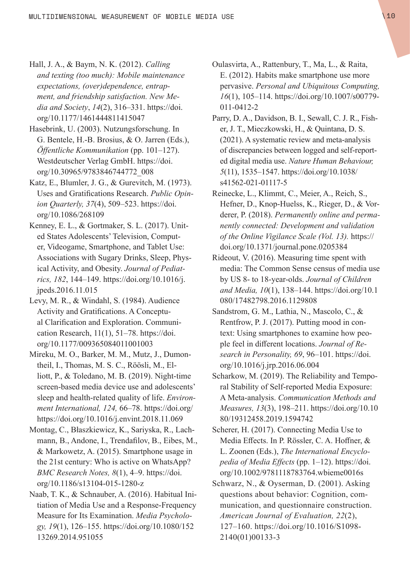- Hall, J. A., & Baym, N. K. (2012). *Calling and texting (too much): Mobile maintenance expectations, (over)dependence, entrapment, and friendship satisfaction. New Media and Society*, *14*(2), 316–331. [https://doi.](https://doi.org/10.1177/1461444811415047) [org/10.1177/1461444811415047](https://doi.org/10.1177/1461444811415047)
- Hasebrink, U. (2003). Nutzungsforschung. In G. Bentele, H.-B. Brosius, & O. Jarren (Eds.), *Öffentliche Kommunikation* (pp. 101–127). Westdeutscher Verlag GmbH. [https://doi.](https://doi.org/10.30965/9783846744772_008) [org/10.30965/9783846744772\\_008](https://doi.org/10.30965/9783846744772_008)
- Katz, E., Blumler, J. G., & Gurevitch, M. (1973). Uses and Gratifications Research. *Public Opinion Quarterly, 37*(4), 509–523. [https://doi.](https://doi.org/10.1086/268109) [org/10.1086/268109](https://doi.org/10.1086/268109)
- Kenney, E. L., & Gortmaker, S. L. (2017). United States Adolescents' Television, Computer, Videogame, Smartphone, and Tablet Use: Associations with Sugary Drinks, Sleep, Physical Activity, and Obesity. *Journal of Pediatrics, 182*, 144–149. [https://doi.org/10.1016/j.](https://doi.org/10.1016/j.jpeds.2016.11.015) [jpeds.2016.11.015](https://doi.org/10.1016/j.jpeds.2016.11.015)
- Levy, M. R., & Windahl, S. (1984). Audience Activity and Gratifications. A Conceptual Clarification and Exploration. Communication Research, 11(1), 51–78. https://doi. org/10.1177/009365084011001003
- Mireku, M. O., Barker, M. M., Mutz, J., Dumontheil, I., Thomas, M. S. C., Röösli, M., Elliott, P., & Toledano, M. B. (2019). Night-time screen-based media device use and adolescents' sleep and health-related quality of life. *Environment International, 124,* 66–78. [https://doi.org/](https://doi.org/https) [https](https://doi.org/https)://[doi.org/10.1016/j.envint.2018.11.069](http://doi.org/10.1016/j.envint.2018.11.069)
- Montag, C., Błaszkiewicz, K., Sariyska, R., Lachmann, B., Andone, I., Trendafilov, B., Eibes, M., & Markowetz, A. (2015). Smartphone usage in the 21st century: Who is active on WhatsApp? *BMC Research Notes, 8*(1), 4–9. [https://doi.](https://doi.org/10.1186/s13104-015-1280-z) [org/10.1186/s13104-015-1280-z](https://doi.org/10.1186/s13104-015-1280-z)
- Naab, T. K., & Schnauber, A. (2016). Habitual Initiation of Media Use and a Response-Frequency Measure for Its Examination. *Media Psychology, 19*(1), 126–155. [https://doi.org/10.1080/152](https://doi.org/10.1080/15213269.2014.951055) [13269.2014.951055](https://doi.org/10.1080/15213269.2014.951055)
- Oulasvirta, A., Rattenbury, T., Ma, L., & Raita, E. (2012). Habits make smartphone use more pervasive. *Personal and Ubiquitous Computing, 16*(1), 105–114. [https://doi.org/10.1007/s00779-](https://doi.org/10.1007/s00779-011-0412-2) [011-0412-2](https://doi.org/10.1007/s00779-011-0412-2)
- Parry, D. A., Davidson, B. I., Sewall, C. J. R., Fisher, J. T., Mieczkowski, H., & Quintana, D. S. (2021). A systematic review and meta-analysis of discrepancies between logged and self-reported digital media use. *Nature Human Behaviour, 5*(11), 1535–1547. [https://doi.org/10.1038/](https://doi.org/10.1038/s41562-021-01117-5) [s41562-021-01117-5](https://doi.org/10.1038/s41562-021-01117-5)
- Reinecke, L., Klimmt, C., Meier, A., Reich, S., Hefner, D., Knop-Huelss, K., Rieger, D., & Vorderer, P. (2018). *Permanently online and permanently connected: Development and validation of the Online Vigilance Scale (Vol. 13).* [https://](https://doi.org/10.1371/journal.pone.0205384) [doi.org/10.1371/journal.pone.0205384](https://doi.org/10.1371/journal.pone.0205384)
- Rideout, V. (2016). Measuring time spent with media: The Common Sense census of media use by US 8- to 18-year-olds. *Journal of Children and Media, 10*(1), 138–144. [https://doi.org/10.1](https://doi.org/10.1080/17482798.2016.1129808) [080/17482798.2016.1129808](https://doi.org/10.1080/17482798.2016.1129808)
- Sandstrom, G. M., Lathia, N., Mascolo, C., & Rentfrow, P. J. (2017). Putting mood in context: Using smartphones to examine how people feel in different locations. *Journal of Research in Personality, 69*, 96–101. [https://doi.](https://doi.org/10.1016/j.jrp.2016.06.004) [org/10.1016/j.jrp.2016.06.004](https://doi.org/10.1016/j.jrp.2016.06.004)
- Scharkow, M. (2019). The Reliability and Temporal Stability of Self-reported Media Exposure: A Meta-analysis. *Communication Methods and Measures, 13*(3), 198–211. [https://doi.org/10.10](https://doi.org/10.1080/19312458.2019.1594742) [80/19312458.2019.1594742](https://doi.org/10.1080/19312458.2019.1594742)
- Scherer, H. (2017). Connecting Media Use to Media Effects. In P. Rössler, C. A. Hoffner, & L. Zoonen (Eds.), *The International Encyclopedia of Media Effects* (pp. 1–12). [https://doi.](https://doi.org/10.1002/9781118783764.wbieme0016s) [org/10.1002/9781118783764.wbieme0016s](https://doi.org/10.1002/9781118783764.wbieme0016s)
- Schwarz, N., & Oyserman, D. (2001). Asking questions about behavior: Cognition, communication, and questionnaire construction. *American Journal of Evaluation, 22*(2), 127–160. [https://doi.org/10.1016/S1098-](https://doi.org/10.1016/S1098-2140(01)00133-3) [2140\(01\)00133-3](https://doi.org/10.1016/S1098-2140(01)00133-3)